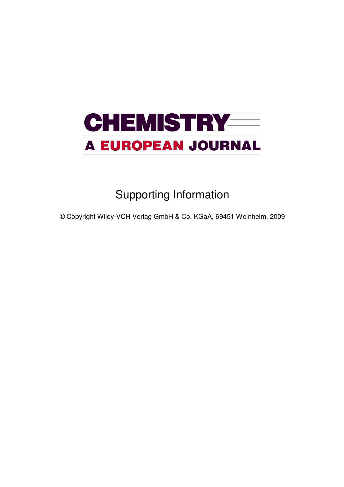

## Supporting Information

© Copyright Wiley-VCH Verlag GmbH & Co. KGaA, 69451 Weinheim, 2009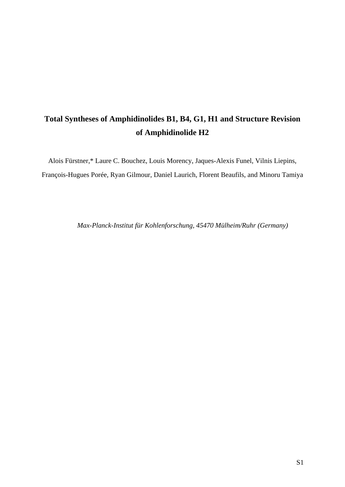## **Total Syntheses of Amphidinolides B1, B4, G1, H1 and Structure Revision of Amphidinolide H2**

Alois Fürstner,\* Laure C. Bouchez, Louis Morency, Jaques-Alexis Funel, Vilnis Liepins, François-Hugues Porée, Ryan Gilmour, Daniel Laurich, Florent Beaufils, and Minoru Tamiya

*Max-Planck-Institut für Kohlenforschung, 45470 Mülheim/Ruhr (Germany)*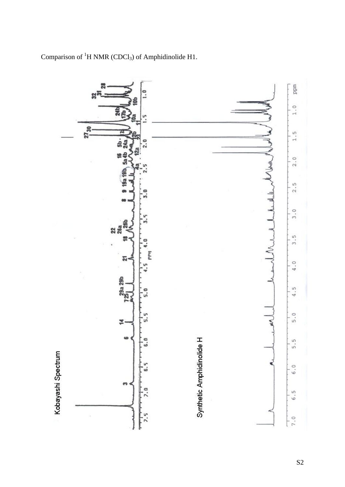

Comparison of  ${}^{1}H$  NMR (CDCl<sub>3</sub>) of Amphidinolide H1.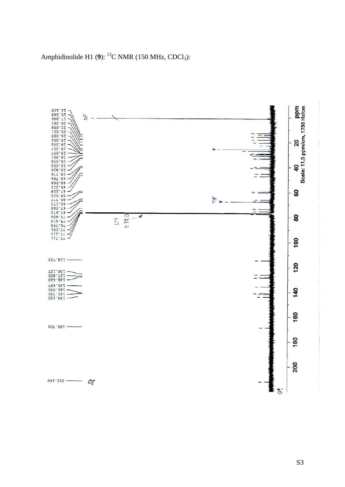

Amphidinolide H1 (9): <sup>13</sup>C NMR (150 MHz, CDCl<sub>3</sub>):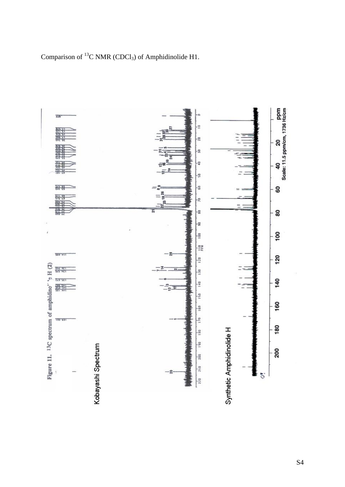Comparison of  ${}^{13}C$  NMR (CDCl<sub>3</sub>) of Amphidinolide H1.

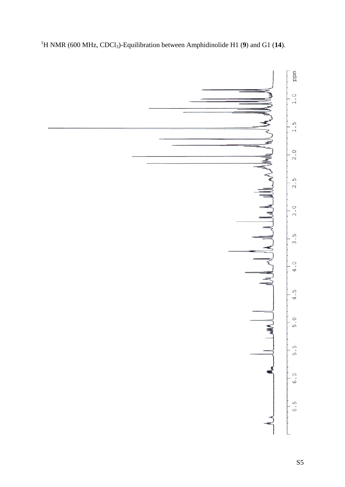

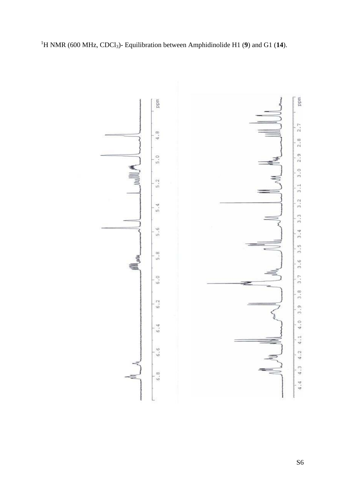

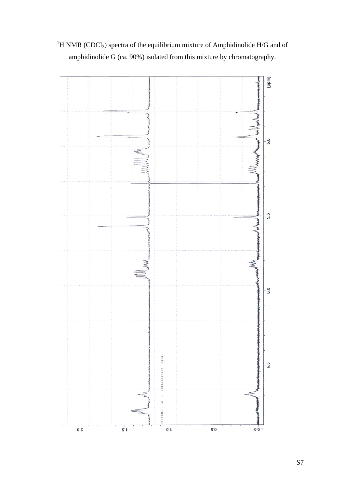

<sup>1</sup>H NMR (CDCl<sub>3</sub>) spectra of the equilibrium mixture of Amphidinolide H/G and of amphidinolide G (ca. 90%) isolated from this mixture by chromatography.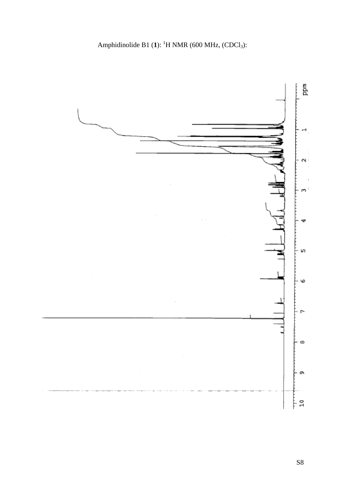![](_page_8_Figure_1.jpeg)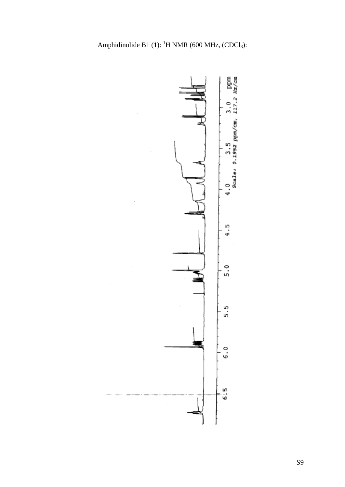![](_page_9_Figure_1.jpeg)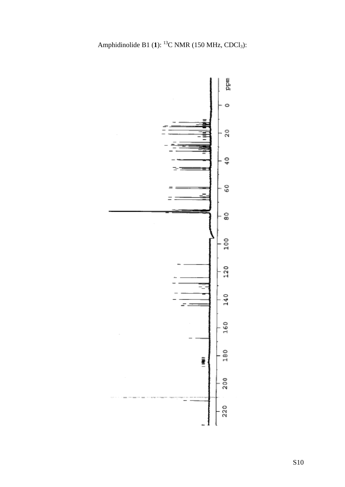![](_page_10_Figure_1.jpeg)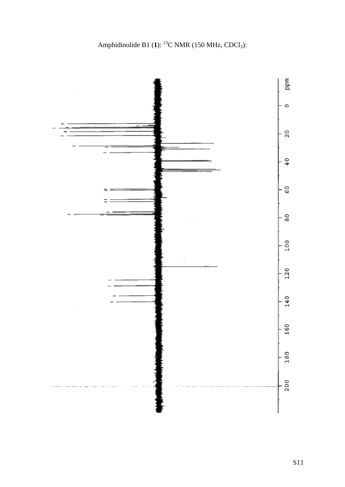![](_page_11_Figure_1.jpeg)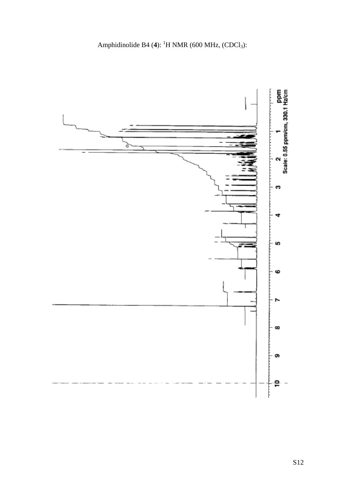![](_page_12_Figure_0.jpeg)

![](_page_12_Figure_1.jpeg)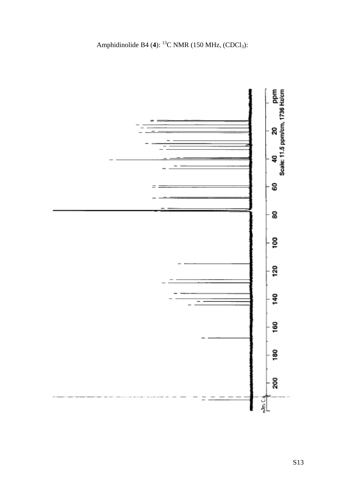![](_page_13_Figure_1.jpeg)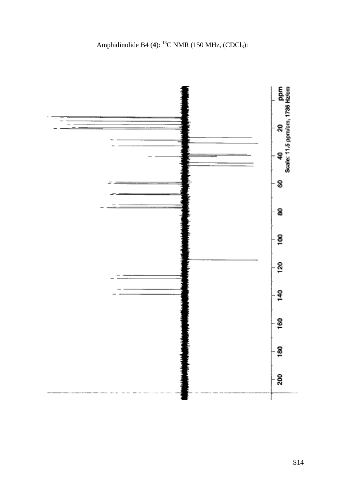Amphidinolide B4 (4): <sup>13</sup>C NMR (150 MHz, (CDCl<sub>3</sub>):

![](_page_14_Figure_1.jpeg)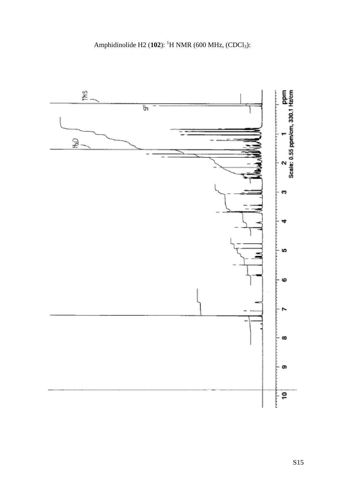![](_page_15_Figure_0.jpeg)

![](_page_15_Figure_1.jpeg)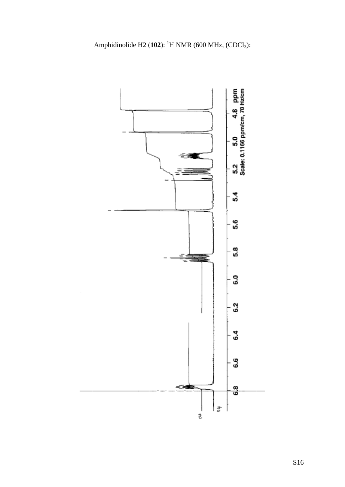![](_page_16_Figure_0.jpeg)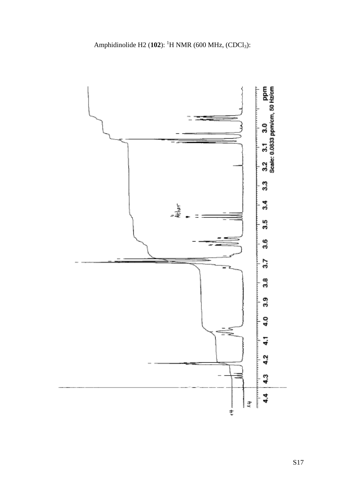![](_page_17_Figure_0.jpeg)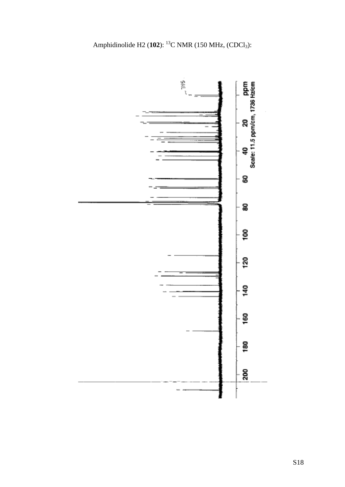![](_page_18_Figure_0.jpeg)

![](_page_18_Figure_1.jpeg)